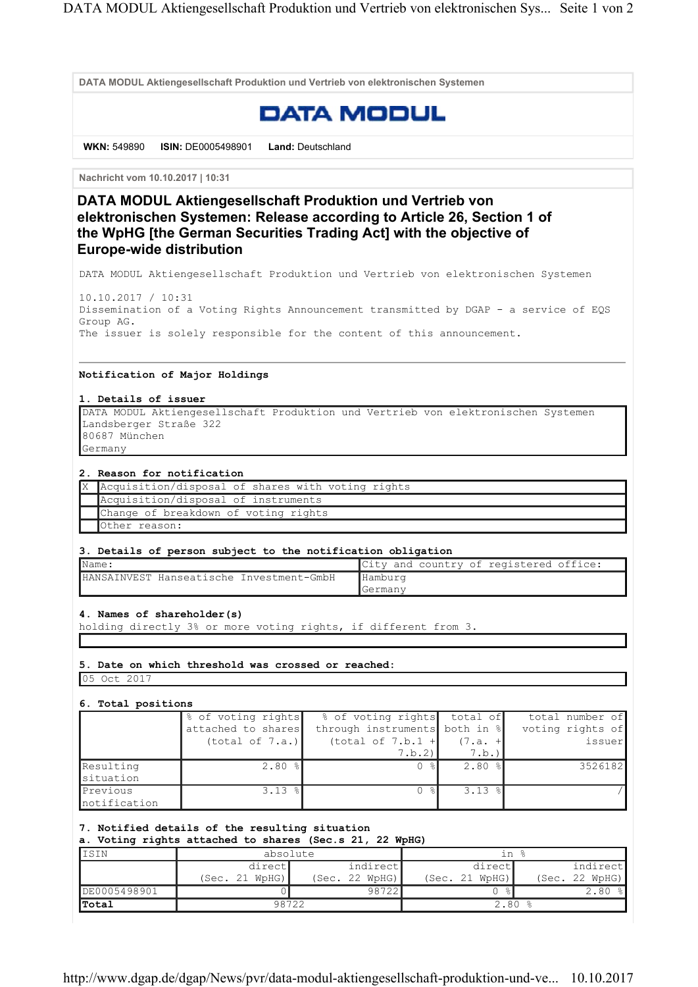